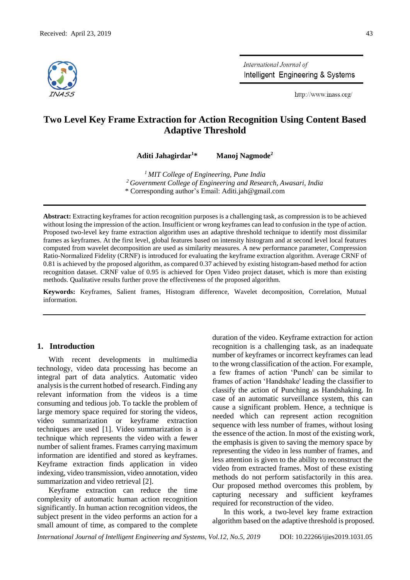

International Journal of Intelligent Engineering & Systems

http://www.inass.org/

# **Two Level Key Frame Extraction for Action Recognition Using Content Based Adaptive Threshold**

**Aditi Jahagirdar<sup>1</sup>\* Manoj Nagmode<sup>2</sup>**

*<sup>1</sup> MIT College of Engineering, Pune India <sup>2</sup> Government College of Engineering and Research, Awasari, India*  \* Corresponding author's Email: Aditi.jah@gmail.com

**Abstract:** Extracting keyframes for action recognition purposes is a challenging task, as compression is to be achieved without losing the impression of the action. Insufficient or wrong keyframes can lead to confusion in the type of action. Proposed two-level key frame extraction algorithm uses an adaptive threshold technique to identify most dissimilar frames as keyframes. At the first level, global features based on intensity histogram and at second level local features computed from wavelet decomposition are used as similarity measures. A new performance parameter, Compression Ratio-Normalized Fidelity (CRNF) is introduced for evaluating the keyframe extraction algorithm. Average CRNF of 0.81 is achieved by the proposed algorithm, as compared 0.37 achieved by existing histogram-based method for action recognition dataset. CRNF value of 0.95 is achieved for Open Video project dataset, which is more than existing methods. Qualitative results further prove the effectiveness of the proposed algorithm.

**Keywords:** Keyframes, Salient frames, Histogram difference, Wavelet decomposition, Correlation, Mutual information.

## **1. Introduction**

With recent developments in multimedia technology, video data processing has become an integral part of data analytics. Automatic video analysis is the current hotbed of research. Finding any relevant information from the videos is a time consuming and tedious job. To tackle the problem of large memory space required for storing the videos, video summarization or keyframe extraction techniques are used [1]. Video summarization is a technique which represents the video with a fewer number of salient frames. Frames carrying maximum information are identified and stored as keyframes. Keyframe extraction finds application in video indexing, video transmission, video annotation, video summarization and video retrieval [2].

Keyframe extraction can reduce the time complexity of automatic human action recognition significantly. In human action recognition videos, the subject present in the video performs an action for a small amount of time, as compared to the complete duration of the video. Keyframe extraction for action recognition is a challenging task, as an inadequate number of keyframes or incorrect keyframes can lead to the wrong classification of the action. For example, a few frames of action 'Punch' can be similar to frames of action 'Handshake' leading the classifier to classify the action of Punching as Handshaking. In case of an automatic surveillance system, this can cause a significant problem. Hence, a technique is needed which can represent action recognition sequence with less number of frames, without losing the essence of the action. In most of the existing work, the emphasis is given to saving the memory space by representing the video in less number of frames, and less attention is given to the ability to reconstruct the video from extracted frames. Most of these existing methods do not perform satisfactorily in this area. Our proposed method overcomes this problem, by capturing necessary and sufficient keyframes required for reconstruction of the video.

In this work, a two-level key frame extraction algorithm based on the adaptive threshold is proposed.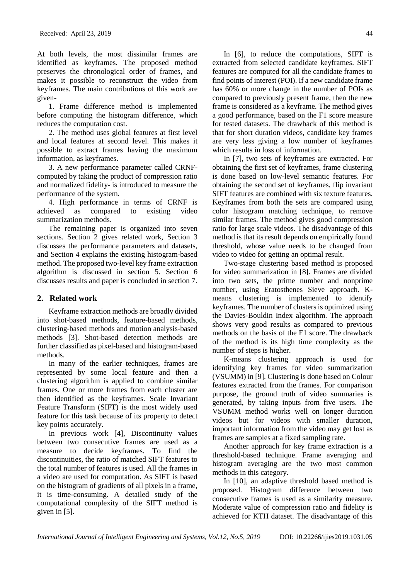At both levels, the most dissimilar frames are identified as keyframes. The proposed method preserves the chronological order of frames, and makes it possible to reconstruct the video from keyframes. The main contributions of this work are given-

1. Frame difference method is implemented before computing the histogram difference, which reduces the computation cost.

2. The method uses global features at first level and local features at second level. This makes it possible to extract frames having the maximum information, as keyframes.

3. A new performance parameter called CRNFcomputed by taking the product of compression ratio and normalized fidelity- is introduced to measure the performance of the system.

4. High performance in terms of CRNF is achieved as compared to existing video summarization methods.

The remaining paper is organized into seven sections. Section 2 gives related work, Section 3 discusses the performance parameters and datasets, and Section 4 explains the existing histogram-based method. The proposed two-level key frame extraction algorithm is discussed in section 5. Section 6 discusses results and paper is concluded in section 7.

# **2. Related work**

Keyframe extraction methods are broadly divided into shot-based methods, feature-based methods, clustering-based methods and motion analysis-based methods [3]. Shot-based detection methods are further classified as pixel-based and histogram-based methods.

In many of the earlier techniques, frames are represented by some local feature and then a clustering algorithm is applied to combine similar frames. One or more frames from each cluster are then identified as the keyframes. Scale Invariant Feature Transform (SIFT) is the most widely used feature for this task because of its property to detect key points accurately.

In previous work [4], Discontinuity values between two consecutive frames are used as a measure to decide keyframes. To find the discontinuities, the ratio of matched SIFT features to the total number of features is used. All the frames in a video are used for computation. As SIFT is based on the histogram of gradients of all pixels in a frame, it is time-consuming. A detailed study of the computational complexity of the SIFT method is given in [5].

In [6], to reduce the computations, SIFT is extracted from selected candidate keyframes. SIFT features are computed for all the candidate frames to find points of interest (POI). If a new candidate frame has 60% or more change in the number of POIs as compared to previously present frame, then the new frame is considered as a keyframe. The method gives a good performance, based on the F1 score measure for tested datasets. The drawback of this method is that for short duration videos, candidate key frames are very less giving a low number of keyframes which results in loss of information.

In [7], two sets of keyframes are extracted. For obtaining the first set of keyframes, frame clustering is done based on low-level semantic features. For obtaining the second set of keyframes, flip invariant SIFT features are combined with six texture features. Keyframes from both the sets are compared using color histogram matching technique, to remove similar frames. The method gives good compression ratio for large scale videos. The disadvantage of this method is that its result depends on empirically found threshold, whose value needs to be changed from video to video for getting an optimal result.

Two-stage clustering based method is proposed for video summarization in [8]. Frames are divided into two sets, the prime number and nonprime number, using Eratosthenes Sieve approach. Kmeans clustering is implemented to identify keyframes. The number of clusters is optimized using the Davies-Bouldin Index algorithm. The approach shows very good results as compared to previous methods on the basis of the F1 score. The drawback of the method is its high time complexity as the number of steps is higher.

K-means clustering approach is used for identifying key frames for video summarization (VSUMM) in [9]. Clustering is done based on Colour features extracted from the frames. For comparison purpose, the ground truth of video summaries is generated, by taking inputs from five users. The VSUMM method works well on longer duration videos but for videos with smaller duration, important information from the video may get lost as frames are samples at a fixed sampling rate.

Another approach for key frame extraction is a threshold-based technique. Frame averaging and histogram averaging are the two most common methods in this category.

In [10], an adaptive threshold based method is proposed. Histogram difference between two consecutive frames is used as a similarity measure. Moderate value of compression ratio and fidelity is achieved for KTH dataset. The disadvantage of this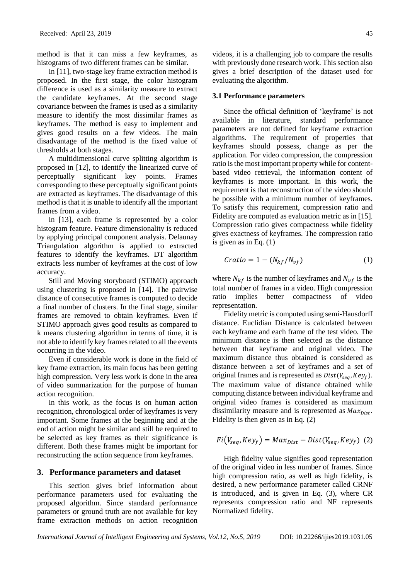method is that it can miss a few keyframes, as histograms of two different frames can be similar.

In [11], two-stage key frame extraction method is proposed. In the first stage, the color histogram difference is used as a similarity measure to extract the candidate keyframes. At the second stage covariance between the frames is used as a similarity measure to identify the most dissimilar frames as keyframes. The method is easy to implement and gives good results on a few videos. The main disadvantage of the method is the fixed value of thresholds at both stages.

A multidimensional curve splitting algorithm is proposed in [12], to identify the linearized curve of perceptually significant key points. Frames corresponding to these perceptually significant points are extracted as keyframes. The disadvantage of this method is that it is unable to identify all the important frames from a video.

In [13], each frame is represented by a color histogram feature. Feature dimensionality is reduced by applying principal component analysis. Delaunay Triangulation algorithm is applied to extracted features to identify the keyframes. DT algorithm extracts less number of keyframes at the cost of low accuracy.

Still and Moving storyboard (STIMO) approach using clustering is proposed in [14]. The pairwise distance of consecutive frames is computed to decide a final number of clusters. In the final stage, similar frames are removed to obtain keyframes. Even if STIMO approach gives good results as compared to k means clustering algorithm in terms of time, it is not able to identify key frames related to all the events occurring in the video.

Even if considerable work is done in the field of key frame extraction, its main focus has been getting high compression. Very less work is done in the area of video summarization for the purpose of human action recognition.

In this work, as the focus is on human action recognition, chronological order of keyframes is very important. Some frames at the beginning and at the end of action might be similar and still be required to be selected as key frames as their significance is different. Both these frames might be important for reconstructing the action sequence from keyframes.

#### **3. Performance parameters and dataset**

This section gives brief information about performance parameters used for evaluating the proposed algorithm. Since standard performance parameters or ground truth are not available for key frame extraction methods on action recognition videos, it is a challenging job to compare the results with previously done research work. This section also gives a brief description of the dataset used for evaluating the algorithm.

#### **3.1 Performance parameters**

Since the official definition of 'keyframe' is not available in literature, standard performance parameters are not defined for keyframe extraction algorithms. The requirement of properties that keyframes should possess, change as per the application. For video compression, the compression ratio is the most important property while for contentbased video retrieval, the information content of keyframes is more important. In this work, the requirement is that reconstruction of the video should be possible with a minimum number of keyframes. To satisfy this requirement, compression ratio and Fidelity are computed as evaluation metric as in [15]. Compression ratio gives compactness while fidelity gives exactness of keyframes. The compression ratio is given as in Eq. (1)

$$
Cratio = 1 - (N_{kf}/N_{vf})
$$
 (1)

where  $N_{kf}$  is the number of keyframes and  $N_{vf}$  is the total number of frames in a video. High compression ratio implies better compactness of video representation.

Fidelity metric is computed using semi-Hausdorff distance. Euclidian Distance is calculated between each keyframe and each frame of the test video. The minimum distance is then selected as the distance between that keyframe and original video. The maximum distance thus obtained is considered as distance between a set of keyframes and a set of original frames and is represented as  $Dist(V_{sea}, Key_f)$ . The maximum value of distance obtained while computing distance between individual keyframe and original video frames is considered as maximum dissimilarity measure and is represented as  $Max_{Dist}$ . Fidelity is then given as in Eq. (2)

$$
Fi(V_{seq}, Key_f) = Max_{Dist} - Dist(V_{seq}, Key_f) (2)
$$

High fidelity value signifies good representation of the original video in less number of frames. Since high compression ratio, as well as high fidelity, is desired, a new performance parameter called CRNF is introduced, and is given in Eq. (3), where CR represents compression ratio and NF represents Normalized fidelity.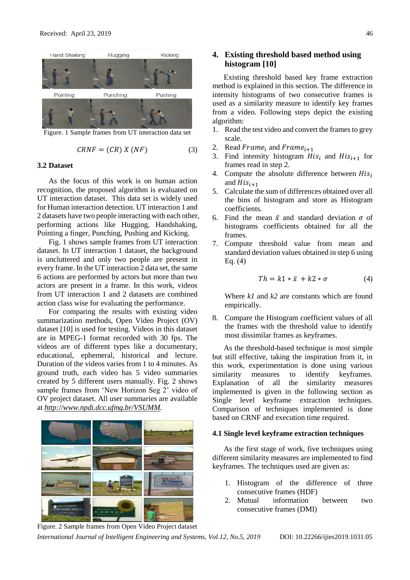

Figure. 1 Sample frames from UT interaction data set

$$
CRNF = (CR) X (NF)
$$
 (3)

## **3.2 Dataset**

As the focus of this work is on human action recognition, the proposed algorithm is evaluated on UT interaction dataset. This data set is widely used for Human interaction detection. UT interaction 1 and 2 datasets have two people interacting with each other, performing actions like Hugging, Handshaking, Pointing a finger, Punching, Pushing and Kicking.

Fig. 1 shows sample frames from UT interaction dataset. In UT interaction 1 dataset, the background is uncluttered and only two people are present in every frame. In the UT interaction 2 data set, the same 6 actions are performed by actors but more than two actors are present in a frame. In this work, videos from UT interaction 1 and 2 datasets are combined action class wise for evaluating the performance.

For comparing the results with existing video summarization methods, Open Video Project (OV) dataset [10] is used for testing. Videos in this dataset are in MPEG-1 format recorded with 30 fps. The videos are of different types like a documentary, educational, ephemeral, historical and lecture. Duration of the videos varies from 1 to 4 minutes. As ground truth, each video has 5 video summaries created by 5 different users manually. Fig. 2 shows sample frames from 'New Horizon Seg 2' video of OV project dataset. All user summaries are available at *[http://www.npdi.dcc.ufmg.br/VSUMM.](http://www.npdi.dcc.ufmg.br/VSUMM)*



**4. Existing threshold based method using histogram [10]**

Existing threshold based key frame extraction method is explained in this section. The difference in intensity histograms of two consecutive frames is used as a similarity measure to identify key frames from a video. Following steps depict the existing algorithm:

- 1. Read the test video and convert the frames to grey scale.
- 2. Read  $Frame<sub>i</sub>$  and  $Frame<sub>i+1</sub>$
- 3. Find intensity histogram  $His_i$  and  $His_{i+1}$  for frames read in step 2.
- 4. Compute the absolute difference between  $His<sub>i</sub>$ and  $His_{i+1}$
- 5. Calculate the sum of differences obtained over all the bins of histogram and store as Histogram coefficients.
- 6. Find the mean  $\bar{x}$  and standard deviation  $\sigma$  of histograms coefficients obtained for all the frames.
- 7. Compute threshold value from mean and standard deviation values obtained in step 6 using Eq. (4)

$$
Th = k1 * \bar{x} + k2 * \sigma \tag{4}
$$

Where *k1* and *k2* are constants which are found empirically.

8. Compare the Histogram coefficient values of all the frames with the threshold value to identify most dissimilar frames as keyframes.

As the threshold-based technique is most simple but still effective, taking the inspiration from it, in this work, experimentation is done using various similarity measures to identify keyframes. Explanation of all the similarity measures implemented is given in the following section as Single level keyframe extraction techniques. Comparison of techniques implemented is done based on CRNF and execution time required.

#### **4.1 Single level keyframe extraction techniques**

As the first stage of work, five techniques using different similarity measures are implemented to find keyframes. The techniques used are given as:

- 1. Histogram of the difference of three consecutive frames (HDF)
- 2. Mutual information between two consecutive frames (DMI)

*International Journal of Intelligent Engineering and Systems, Vol.12, No.5, 2019* DOI: 10.22266/ijies2019.1031.05 Figure. 2 Sample frames from Open Video Project dataset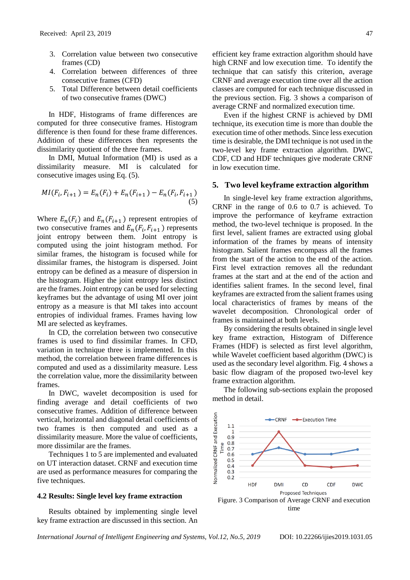- 3. Correlation value between two consecutive frames (CD)
- 4. Correlation between differences of three consecutive frames (CFD)
- 5. Total Difference between detail coefficients of two consecutive frames (DWC)

In HDF, Histograms of frame differences are computed for three consecutive frames. Histogram difference is then found for these frame differences. Addition of these differences then represents the dissimilarity quotient of the three frames.

In DMI, Mutual Information (MI) is used as a dissimilarity measure. MI is calculated for consecutive images using Eq. (5).

$$
MI(F_i, F_{i+1}) = E_n(F_i) + E_n(F_{i+1}) - E_n(F_i, F_{i+1})
$$
\n(5)

Where  $E_n(F_i)$  and  $E_n(F_{i+1})$  represent entropies of two consecutive frames and  $E_n(F_i, F_{i+1})$  represents joint entropy between them. Joint entropy is computed using the joint histogram method. For similar frames, the histogram is focused while for dissimilar frames, the histogram is dispersed. Joint entropy can be defined as a measure of dispersion in the histogram. Higher the joint entropy less distinct are the frames. Joint entropy can be used for selecting keyframes but the advantage of using MI over joint entropy as a measure is that MI takes into account entropies of individual frames. Frames having low MI are selected as keyframes.

In CD, the correlation between two consecutive frames is used to find dissimilar frames. In CFD, variation in technique three is implemented. In this method, the correlation between frame differences is computed and used as a dissimilarity measure. Less the correlation value, more the dissimilarity between frames.

In DWC, wavelet decomposition is used for finding average and detail coefficients of two consecutive frames. Addition of difference between vertical, horizontal and diagonal detail coefficients of two frames is then computed and used as a dissimilarity measure. More the value of coefficients, more dissimilar are the frames.

Techniques 1 to 5 are implemented and evaluated on UT interaction dataset. CRNF and execution time are used as performance measures for comparing the five techniques.

#### **4.2 Results: Single level key frame extraction**

Results obtained by implementing single level key frame extraction are discussed in this section. An efficient key frame extraction algorithm should have high CRNF and low execution time. To identify the technique that can satisfy this criterion, average CRNF and average execution time over all the action classes are computed for each technique discussed in the previous section. Fig. 3 shows a comparison of average CRNF and normalized execution time.

Even if the highest CRNF is achieved by DMI technique, its execution time is more than double the execution time of other methods. Since less execution time is desirable, the DMI technique is not used in the two-level key frame extraction algorithm. DWC, CDF, CD and HDF techniques give moderate CRNF in low execution time.

#### **5. Two level keyframe extraction algorithm**

In single-level key frame extraction algorithms, CRNF in the range of 0.6 to 0.7 is achieved. To improve the performance of keyframe extraction method, the two-level technique is proposed. In the first level, salient frames are extracted using global information of the frames by means of intensity histogram. Salient frames encompass all the frames from the start of the action to the end of the action. First level extraction removes all the redundant frames at the start and at the end of the action and identifies salient frames. In the second level, final keyframes are extracted from the salient frames using local characteristics of frames by means of the wavelet decomposition. Chronological order of frames is maintained at both levels.

By considering the results obtained in single level key frame extraction, Histogram of Difference Frames (HDF) is selected as first level algorithm, while Wavelet coefficient based algorithm (DWC) is used as the secondary level algorithm. Fig. 4 shows a basic flow diagram of the proposed two-level key frame extraction algorithm.

The following sub-sections explain the proposed method in detail.

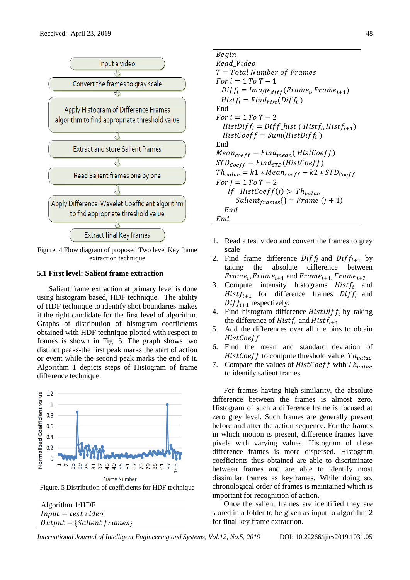

Figure. 4 Flow diagram of proposed Two level Key frame extraction technique

## **5.1 First level: Salient frame extraction**

Salient frame extraction at primary level is done using histogram based, HDF technique. The ability of HDF technique to identify shot boundaries makes it the right candidate for the first level of algorithm. Graphs of distribution of histogram coefficients obtained with HDF technique plotted with respect to frames is shown in Fig. 5. The graph shows two distinct peaks-the first peak marks the start of action or event while the second peak marks the end of it. Algorithm 1 depicts steps of Histogram of frame difference technique.



Figure. 5 Distribution of coefficients for HDF technique

| Algorithm 1:HDF             |
|-----------------------------|
| $Input = test$ video        |
| $Output = {Salient frames}$ |

Begin Read Video  $T = Total Number of Frames$  $For i = 1 To T - 1$  $Diff_i = Image_{diff}(Frame_i, Frame_{i+1})$  $Histf_i = Find_{hist}(Diff_i )$ End  $For i = 1 To T - 2$  $HistDiff_i = Diff\_hist$  (  $Histf_i, Histf_{i+1})$  $HistCoeff = Sum(HistDiff<sub>i</sub>)$ End  $Mean_{coeff} = Find_{mean}(HistCoeff)$  $STD_{coeff} = Find_{STD}(HistCoeff)$  $Th_{value} = k1 * Mean_{coeff} + k2 * STD_{Coeff}$  $For i = 1 To T - 2$ If  $HistCoeff(j) > Th_{value}$  ${Salient}_{frames}$ {} = Frame (j + 1)  $End$ End

- 1. Read a test video and convert the frames to grey scale
- 2. Find frame difference  $Diff_i$  and  $Diff_{i+1}$  by taking the absolute difference between taking the absolute difference between  $Frame_{i}$ ,  $Frame_{i+1}$  and  $Frame_{i+1}$ ,  $Frame_{i+2}$
- 3. Compute intensity histograms  $Histf_i$  and  $Histf_{i+1}$  for difference frames  $Diff_i$  and  $Diff_{i+1}$  respectively.
- 4. Find histogram difference  $HistDiff_i$  by taking the difference of Hist $f_i$  and Hist $f_{i+1}$
- 5. Add the differences over all the bins to obtain **HistCoeff**
- 6. Find the mean and standard deviation of HistCoeff to compute threshold value,  $Th_{value}$
- 7. Compare the values of  $HistCoeff$  with  $Th_{value}$ to identify salient frames.

For frames having high similarity, the absolute difference between the frames is almost zero. Histogram of such a difference frame is focused at zero grey level. Such frames are generally present before and after the action sequence. For the frames in which motion is present, difference frames have pixels with varying values. Histogram of these difference frames is more dispersed. Histogram coefficients thus obtained are able to discriminate between frames and are able to identify most dissimilar frames as keyframes. While doing so, chronological order of frames is maintained which is important for recognition of action.

Once the salient frames are identified they are stored in a folder to be given as input to algorithm 2 for final key frame extraction.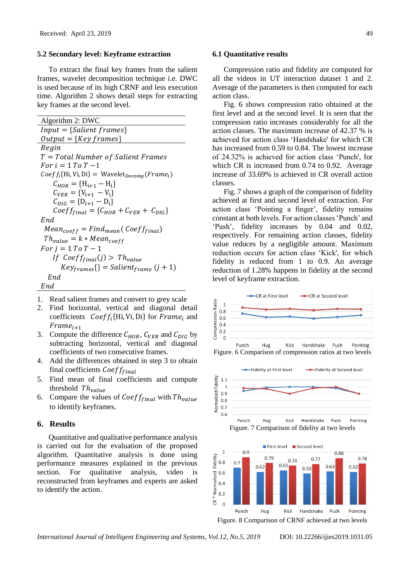## **5.2 Secondary level: Keyframe extraction**

To extract the final key frames from the salient frames, wavelet decomposition technique i.e. DWC is used because of its high CRNF and less execution time. Algorithm 2 shows detail steps for extracting key frames at the second level.

Algorithm 2: DWC  $Input = {Salient frames}$  $Output = \{Key\ frames\}$ **Begin**  $T = Total Number of Salient Frames$  $For i = 1 To T -1$  ${{\mathit Coef}}_i\{H_i\{Vi, Di\}} = {\mathit{Wavelet}}_{\mathit{Decomp}}({\mathit{Frame}}_i)$  $C_{HOR} = {H_{i+1} - H_i}$  $C_{VER} = \{V_{i+1} - V_i\}$  $C_{DIG} = \{D_{i+1} - D_i\}$  $C_{\text{DIG}}^{U_{\text{U}}} = \{ C_{\text{HOR}} + C_{\text{VER}} + C_{\text{DIG}} \}$ End  $Mean_{coeff} = Find_{mean} (Coeff_{final})$  $Th_{value} = k * Mean_{coeff}$ For  $j = 1$  To  $T - 1$ If  $Coeff_{final}(j) > Th_{value}$  ${Key_{frames}}$ {} = Salient<sub>frame</sub> (j + 1)  $End$ End

- 1. Read salient frames and convert to grey scale
- 2. Find horizontal, vertical and diagonal detail coefficients  $Coeff_i{Hi, Vi, Di}$  for  $Frame_i$  and  $Frame_{i+1}$
- 3. Compute the difference  $C_{HOR}$ ,  $C_{VER}$  and  $C_{DIG}$  by subtracting horizontal, vertical and diagonal coefficients of two consecutive frames.
- 4. Add the differences obtained in step 3 to obtain final coefficients  $Coeff_{final}$
- 5. Find mean of final coefficients and compute threshold  $Th_{value}$
- 6. Compare the values of  $Coeff_{final}$  with  $Th_{value}$ to identify keyframes.

#### **6. Results**

Quantitative and qualitative performance analysis is carried out for the evaluation of the proposed algorithm. Quantitative analysis is done using performance measures explained in the previous section. For qualitative analysis, video is reconstructed from keyframes and experts are asked to identify the action.

#### **6.1 Quantitative results**

Compression ratio and fidelity are computed for all the videos in UT interaction dataset 1 and 2. Average of the parameters is then computed for each action class.

Fig. 6 shows compression ratio obtained at the first level and at the second level. It is seen that the compression ratio increases considerably for all the action classes. The maximum increase of 42.37 % is achieved for action class 'Handshake' for which CR has increased from 0.59 to 0.84. The lowest increase of 24.32% is achieved for action class 'Punch', for which CR is increased from 0.74 to 0.92. Average increase of 33.69% is achieved in CR overall action classes.

Fig. 7 shows a graph of the comparison of fidelity achieved at first and second level of extraction. For action class 'Pointing a finger', fidelity remains constant at both levels. For action classes 'Punch' and 'Push', fidelity increases by 0.04 and 0.02, respectively. For remaining action classes, fidelity value reduces by a negligible amount. Maximum reduction occurs for action class 'Kick', for which fidelity is reduced from 1 to 0.9. An average reduction of 1.28% happens in fidelity at the second level of keyframe extraction.



Figure. 6 Comparison of compression ratios at two levels







Figure. 8 Comparison of CRNF achieved at two levels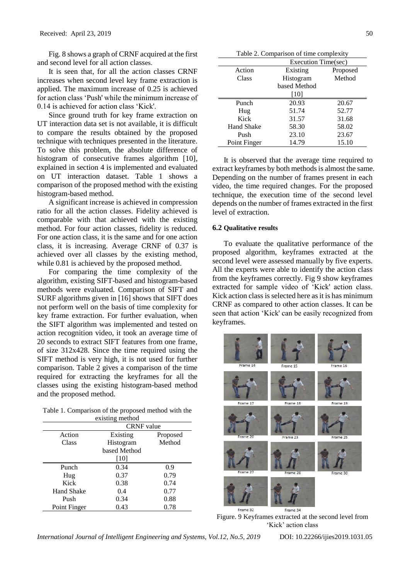Fig. 8 shows a graph of CRNF acquired at the first and second level for all action classes.

It is seen that, for all the action classes CRNF increases when second level key frame extraction is applied. The maximum increase of 0.25 is achieved for action class 'Push' while the minimum increase of 0.14 is achieved for action class 'Kick'.

Since ground truth for key frame extraction on UT interaction data set is not available, it is difficult to compare the results obtained by the proposed technique with techniques presented in the literature. To solve this problem, the absolute difference of histogram of consecutive frames algorithm [10], explained in section 4 is implemented and evaluated on UT interaction dataset. Table 1 shows a comparison of the proposed method with the existing histogram-based method.

A significant increase is achieved in compression ratio for all the action classes. Fidelity achieved is comparable with that achieved with the existing method. For four action classes, fidelity is reduced. For one action class, it is the same and for one action class, it is increasing. Average CRNF of 0.37 is achieved over all classes by the existing method, while 0.81 is achieved by the proposed method.

For comparing the time complexity of the algorithm, existing SIFT-based and histogram-based methods were evaluated. Comparison of SIFT and SURF algorithms given in [16] shows that SIFT does not perform well on the basis of time complexity for key frame extraction. For further evaluation, when the SIFT algorithm was implemented and tested on action recognition video, it took an average time of 20 seconds to extract SIFT features from one frame, of size 312x428. Since the time required using the SIFT method is very high, it is not used for further comparison. Table 2 gives a comparison of the time required for extracting the keyframes for all the classes using the existing histogram-based method and the proposed method.

Table 1. Comparison of the proposed method with the existing method

|                   | <b>CRNF</b> value |          |
|-------------------|-------------------|----------|
| Action            | Existing          | Proposed |
| Class             | Histogram         | Method   |
|                   | based Method      |          |
|                   | [10]              |          |
| Punch             | 0.34              | 0.9      |
| Hug               | 0.37              | 0.79     |
| Kick              | 0.38              | 0.74     |
| <b>Hand Shake</b> | 0.4               | 0.77     |
| Push              | 0.34              | 0.88     |
| Point Finger      | 0.43              | 0.78     |

| Table 2. Comparison of time complexity |                     |          |  |
|----------------------------------------|---------------------|----------|--|
|                                        | Execution Time(sec) |          |  |
| Action                                 | Existing            | Proposed |  |
| Class                                  | Histogram           | Method   |  |
|                                        | based Method        |          |  |
|                                        | [10]                |          |  |
| Punch                                  | 20.93               | 20.67    |  |
| Hug                                    | 51.74               | 52.77    |  |
| Kick                                   | 31.57               | 31.68    |  |
| Hand Shake                             | 58.30               | 58.02    |  |
| Push                                   | 23.10               | 23.67    |  |
| Point Finger                           | 14.79               | 15.10    |  |

It is observed that the average time required to extract keyframes by both methods is almost the same. Depending on the number of frames present in each video, the time required changes. For the proposed technique, the execution time of the second level depends on the number of frames extracted in the first level of extraction.

#### **6.2 Qualitative results**

To evaluate the qualitative performance of the proposed algorithm, keyframes extracted at the second level were assessed manually by five experts. All the experts were able to identify the action class from the keyframes correctly. Fig 9 show keyframes extracted for sample video of 'Kick' action class. Kick action class is selected here as it is has minimum CRNF as compared to other action classes. It can be seen that action 'Kick' can be easily recognized from keyframes.



Figure. 9 Keyframes extracted at the second level from 'Kick' action class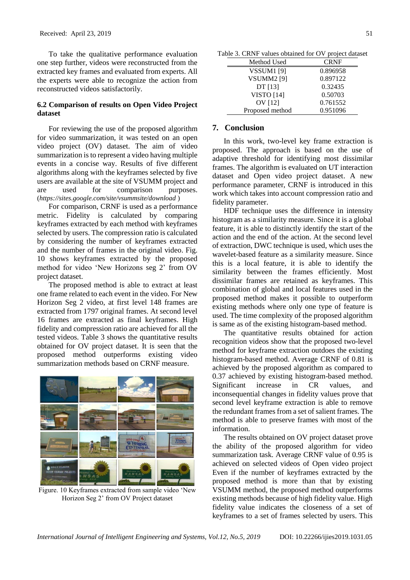To take the qualitative performance evaluation one step further, videos were reconstructed from the extracted key frames and evaluated from experts. All the experts were able to recognize the action from reconstructed videos satisfactorily.

# **6.2 Comparison of results on Open Video Project dataset**

For reviewing the use of the proposed algorithm for video summarization, it was tested on an open video project (OV) dataset. The aim of video summarization is to represent a video having multiple events in a concise way. Results of five different algorithms along with the keyframes selected by five users are available at the site of VSUMM project and are used for comparison purposes. (*<https://sites.google.com/site/vsummsite/download>* )

For comparison, CRNF is used as a performance metric. Fidelity is calculated by comparing keyframes extracted by each method with keyframes selected by users. The compression ratio is calculated by considering the number of keyframes extracted and the number of frames in the original video. Fig. 10 shows keyframes extracted by the proposed method for video 'New Horizons seg 2' from OV project dataset.

The proposed method is able to extract at least one frame related to each event in the video. For New Horizon Seg 2 video, at first level 148 frames are extracted from 1797 original frames. At second level 16 frames are extracted as final keyframes. High fidelity and compression ratio are achieved for all the tested videos. Table 3 shows the quantitative results obtained for OV project dataset. It is seen that the proposed method outperforms existing video summarization methods based on CRNF measure.



Figure. 10 Keyframes extracted from sample video 'New Horizon Seg 2' from OV Project dataset

Table 3. CRNF values obtained for OV project dataset

| Method Used       | <b>CRNF</b> |
|-------------------|-------------|
| VSSUM1 [9]        | 0.896958    |
| <b>VSUMM2</b> [9] | 0.897122    |
| DT[13]            | 0.32435     |
| <b>VISTO</b> [14] | 0.50703     |
| OV [12]           | 0.761552    |
| Proposed method   | 0.951096    |

## **7. Conclusion**

In this work, two-level key frame extraction is proposed. The approach is based on the use of adaptive threshold for identifying most dissimilar frames. The algorithm is evaluated on UT interaction dataset and Open video project dataset. A new performance parameter, CRNF is introduced in this work which takes into account compression ratio and fidelity parameter.

HDF technique uses the difference in intensity histogram as a similarity measure. Since it is a global feature, it is able to distinctly identify the start of the action and the end of the action. At the second level of extraction, DWC technique is used, which uses the wavelet-based feature as a similarity measure. Since this is a local feature, it is able to identify the similarity between the frames efficiently. Most dissimilar frames are retained as keyframes. This combination of global and local features used in the proposed method makes it possible to outperform existing methods where only one type of feature is used. The time complexity of the proposed algorithm is same as of the existing histogram-based method.

The quantitative results obtained for action recognition videos show that the proposed two-level method for keyframe extraction outdoes the existing histogram-based method. Average CRNF of 0.81 is achieved by the proposed algorithm as compared to 0.37 achieved by existing histogram-based method. Significant increase in CR values, and inconsequential changes in fidelity values prove that second level keyframe extraction is able to remove the redundant frames from a set of salient frames. The method is able to preserve frames with most of the information.

The results obtained on OV project dataset prove the ability of the proposed algorithm for video summarization task. Average CRNF value of 0.95 is achieved on selected videos of Open video project Even if the number of keyframes extracted by the proposed method is more than that by existing VSUMM method, the proposed method outperforms existing methods because of high fidelity value. High fidelity value indicates the closeness of a set of keyframes to a set of frames selected by users. This